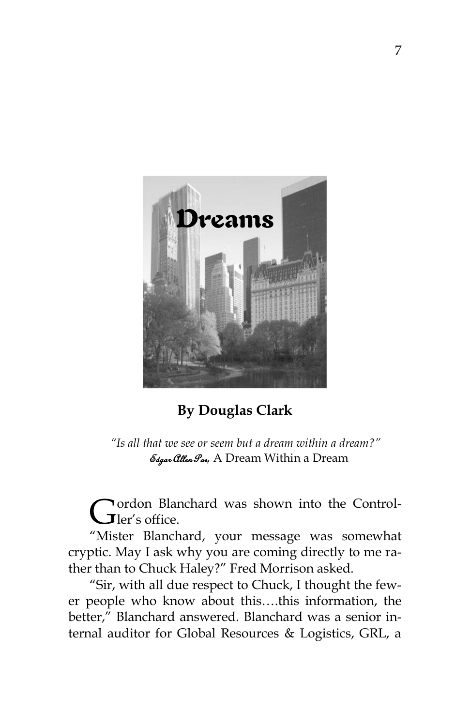

**By Douglas Clark**

 *"Is all that we see or seem but a dream within a dream?"*  Edgar Allen Poe*,* A Dream Within a Dream

ordon Blanchard was shown into the Control-Gordon Blan

"Mister Blanchard, your message was somewhat cryptic. May I ask why you are coming directly to me rather than to Chuck Haley?" Fred Morrison asked.

"Sir, with all due respect to Chuck, I thought the fewer people who know about this….this information, the better," Blanchard answered. Blanchard was a senior internal auditor for Global Resources & Logistics, GRL, a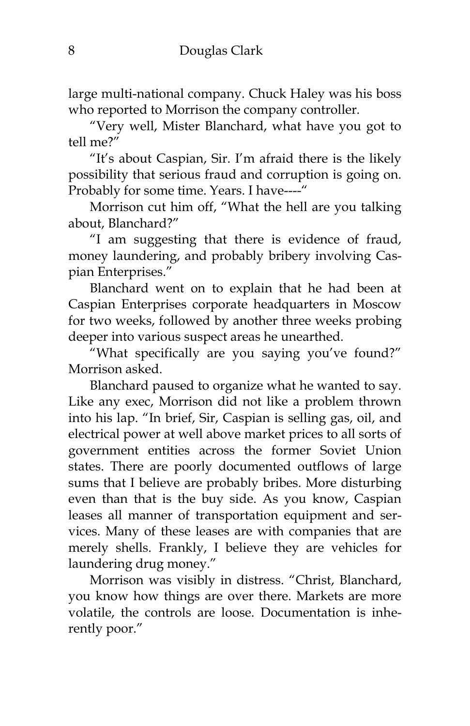large multi-national company. Chuck Haley was his boss who reported to Morrison the company controller.

"Very well, Mister Blanchard, what have you got to tell me?"

"It"s about Caspian, Sir. I"m afraid there is the likely possibility that serious fraud and corruption is going on. Probably for some time. Years. I have----"

Morrison cut him off, "What the hell are you talking about, Blanchard?"

"I am suggesting that there is evidence of fraud, money laundering, and probably bribery involving Caspian Enterprises."

Blanchard went on to explain that he had been at Caspian Enterprises corporate headquarters in Moscow for two weeks, followed by another three weeks probing deeper into various suspect areas he unearthed.

"What specifically are you saying you"ve found?" Morrison asked.

Blanchard paused to organize what he wanted to say. Like any exec, Morrison did not like a problem thrown into his lap. "In brief, Sir, Caspian is selling gas, oil, and electrical power at well above market prices to all sorts of government entities across the former Soviet Union states. There are poorly documented outflows of large sums that I believe are probably bribes. More disturbing even than that is the buy side. As you know, Caspian leases all manner of transportation equipment and services. Many of these leases are with companies that are merely shells. Frankly, I believe they are vehicles for laundering drug money."

Morrison was visibly in distress. "Christ, Blanchard, you know how things are over there. Markets are more volatile, the controls are loose. Documentation is inherently poor."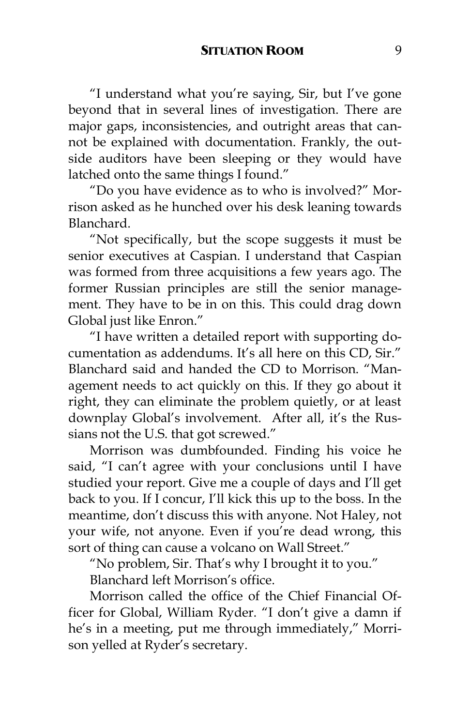"I understand what you"re saying, Sir, but I"ve gone beyond that in several lines of investigation. There are major gaps, inconsistencies, and outright areas that cannot be explained with documentation. Frankly, the outside auditors have been sleeping or they would have latched onto the same things I found."

"Do you have evidence as to who is involved?" Morrison asked as he hunched over his desk leaning towards Blanchard.

"Not specifically, but the scope suggests it must be senior executives at Caspian. I understand that Caspian was formed from three acquisitions a few years ago. The former Russian principles are still the senior management. They have to be in on this. This could drag down Global just like Enron."

"I have written a detailed report with supporting documentation as addendums. It's all here on this CD, Sir." Blanchard said and handed the CD to Morrison. "Management needs to act quickly on this. If they go about it right, they can eliminate the problem quietly, or at least downplay Global's involvement. After all, it's the Russians not the U.S. that got screwed."

Morrison was dumbfounded. Finding his voice he said, "I can't agree with your conclusions until I have studied your report. Give me a couple of days and I"ll get back to you. If I concur, I"ll kick this up to the boss. In the meantime, don"t discuss this with anyone. Not Haley, not your wife, not anyone. Even if you're dead wrong, this sort of thing can cause a volcano on Wall Street."

"No problem, Sir. That's why I brought it to you."

Blanchard left Morrison's office.

Morrison called the office of the Chief Financial Officer for Global, William Ryder. "I don't give a damn if he's in a meeting, put me through immediately," Morrison yelled at Ryder's secretary.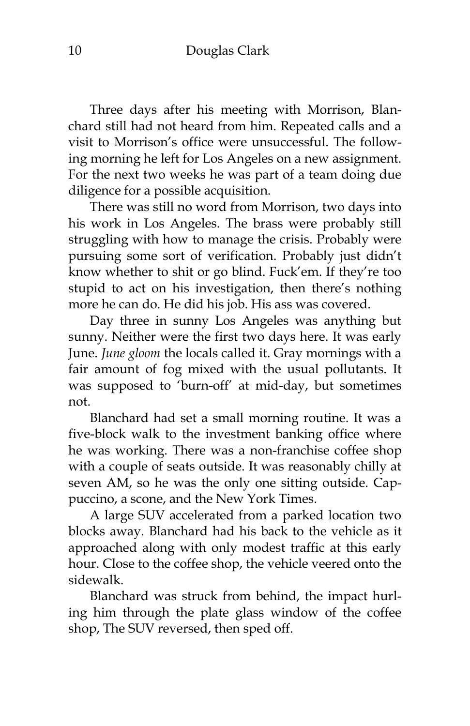Three days after his meeting with Morrison, Blanchard still had not heard from him. Repeated calls and a visit to Morrison"s office were unsuccessful. The following morning he left for Los Angeles on a new assignment. For the next two weeks he was part of a team doing due diligence for a possible acquisition.

There was still no word from Morrison, two days into his work in Los Angeles. The brass were probably still struggling with how to manage the crisis. Probably were pursuing some sort of verification. Probably just didn"t know whether to shit or go blind. Fuck"em. If they"re too stupid to act on his investigation, then there's nothing more he can do. He did his job. His ass was covered.

Day three in sunny Los Angeles was anything but sunny. Neither were the first two days here. It was early June. *June gloom* the locals called it. Gray mornings with a fair amount of fog mixed with the usual pollutants. It was supposed to "burn-off" at mid-day, but sometimes not.

Blanchard had set a small morning routine. It was a five-block walk to the investment banking office where he was working. There was a non-franchise coffee shop with a couple of seats outside. It was reasonably chilly at seven AM, so he was the only one sitting outside. Cappuccino, a scone, and the New York Times.

A large SUV accelerated from a parked location two blocks away. Blanchard had his back to the vehicle as it approached along with only modest traffic at this early hour. Close to the coffee shop, the vehicle veered onto the sidewalk.

Blanchard was struck from behind, the impact hurling him through the plate glass window of the coffee shop, The SUV reversed, then sped off.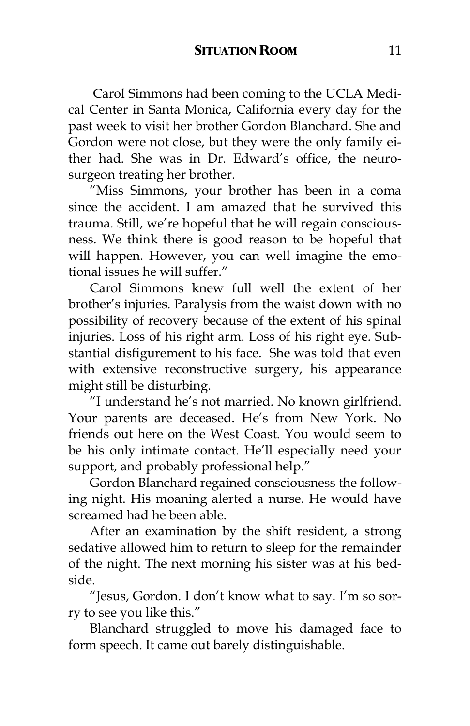Carol Simmons had been coming to the UCLA Medical Center in Santa Monica, California every day for the past week to visit her brother Gordon Blanchard. She and Gordon were not close, but they were the only family either had. She was in Dr. Edward"s office, the neurosurgeon treating her brother.

"Miss Simmons, your brother has been in a coma since the accident. I am amazed that he survived this trauma. Still, we"re hopeful that he will regain consciousness. We think there is good reason to be hopeful that will happen. However, you can well imagine the emotional issues he will suffer."

Carol Simmons knew full well the extent of her brother"s injuries. Paralysis from the waist down with no possibility of recovery because of the extent of his spinal injuries. Loss of his right arm. Loss of his right eye. Substantial disfigurement to his face. She was told that even with extensive reconstructive surgery, his appearance might still be disturbing.

"I understand he"s not married. No known girlfriend. Your parents are deceased. He's from New York. No friends out here on the West Coast. You would seem to be his only intimate contact. He'll especially need your support, and probably professional help."

Gordon Blanchard regained consciousness the following night. His moaning alerted a nurse. He would have screamed had he been able.

After an examination by the shift resident, a strong sedative allowed him to return to sleep for the remainder of the night. The next morning his sister was at his bedside.

"Jesus, Gordon. I don"t know what to say. I"m so sorry to see you like this."

Blanchard struggled to move his damaged face to form speech. It came out barely distinguishable.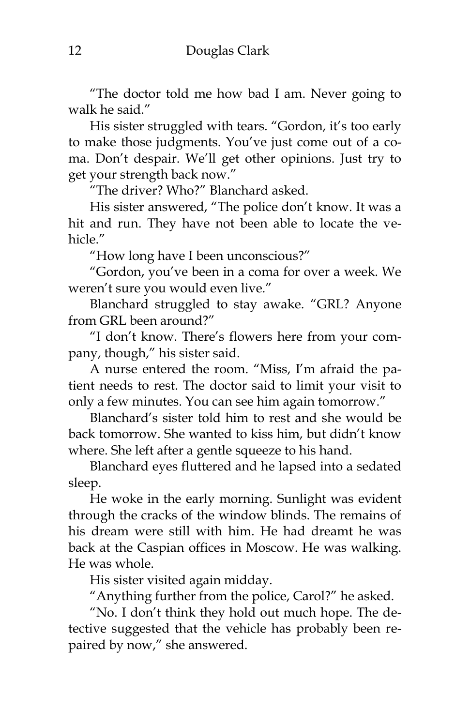"The doctor told me how bad I am. Never going to walk he said."

His sister struggled with tears. "Gordon, it's too early to make those judgments. You"ve just come out of a coma. Don"t despair. We"ll get other opinions. Just try to get your strength back now."

"The driver? Who?" Blanchard asked.

His sister answered, "The police don't know. It was a hit and run. They have not been able to locate the vehicle."

"How long have I been unconscious?"

"Gordon, you"ve been in a coma for over a week. We weren't sure you would even live."

Blanchard struggled to stay awake. "GRL? Anyone from GRL been around?"

"I don"t know. There"s flowers here from your company, though," his sister said.

A nurse entered the room. "Miss, I"m afraid the patient needs to rest. The doctor said to limit your visit to only a few minutes. You can see him again tomorrow."

Blanchard"s sister told him to rest and she would be back tomorrow. She wanted to kiss him, but didn"t know where. She left after a gentle squeeze to his hand.

Blanchard eyes fluttered and he lapsed into a sedated sleep.

He woke in the early morning. Sunlight was evident through the cracks of the window blinds. The remains of his dream were still with him. He had dreamt he was back at the Caspian offices in Moscow. He was walking. He was whole.

His sister visited again midday.

"Anything further from the police, Carol?" he asked.

"No. I don"t think they hold out much hope. The detective suggested that the vehicle has probably been repaired by now," she answered.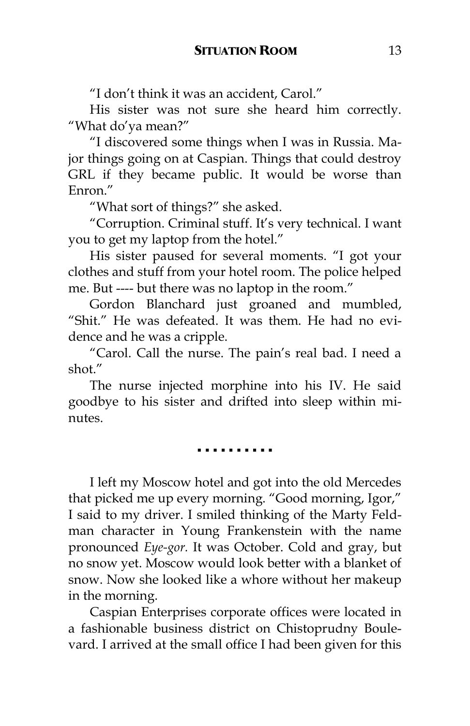"I don"t think it was an accident, Carol."

His sister was not sure she heard him correctly. "What do'ya mean?"

"I discovered some things when I was in Russia. Major things going on at Caspian. Things that could destroy GRL if they became public. It would be worse than Enron."

"What sort of things?" she asked.

"Corruption. Criminal stuff. It"s very technical. I want you to get my laptop from the hotel."

His sister paused for several moments. "I got your clothes and stuff from your hotel room. The police helped me. But ---- but there was no laptop in the room."

Gordon Blanchard just groaned and mumbled, "Shit." He was defeated. It was them. He had no evidence and he was a cripple.

"Carol. Call the nurse. The pain"s real bad. I need a shot."

The nurse injected morphine into his IV. He said goodbye to his sister and drifted into sleep within minutes

▪ ▪ ▪ ▪ ▪ ▪ ▪ ▪ ▪ ▪

I left my Moscow hotel and got into the old Mercedes that picked me up every morning. "Good morning, Igor," I said to my driver. I smiled thinking of the Marty Feldman character in Young Frankenstein with the name pronounced *Eye-gor.* It was October. Cold and gray, but no snow yet. Moscow would look better with a blanket of snow. Now she looked like a whore without her makeup in the morning.

Caspian Enterprises corporate offices were located in a fashionable business district on Chistoprudny Boulevard. I arrived at the small office I had been given for this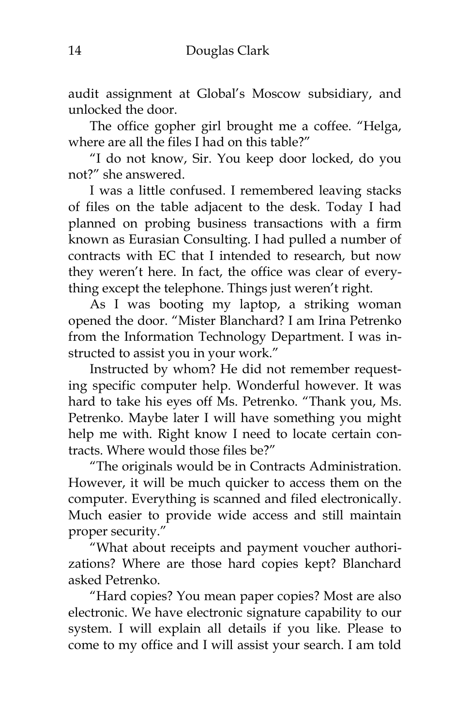audit assignment at Global"s Moscow subsidiary, and unlocked the door.

The office gopher girl brought me a coffee. "Helga, where are all the files I had on this table?"

"I do not know, Sir. You keep door locked, do you not?" she answered.

I was a little confused. I remembered leaving stacks of files on the table adjacent to the desk. Today I had planned on probing business transactions with a firm known as Eurasian Consulting. I had pulled a number of contracts with EC that I intended to research, but now they weren't here. In fact, the office was clear of everything except the telephone. Things just weren't right.

As I was booting my laptop, a striking woman opened the door. "Mister Blanchard? I am Irina Petrenko from the Information Technology Department. I was instructed to assist you in your work."

Instructed by whom? He did not remember requesting specific computer help. Wonderful however. It was hard to take his eyes off Ms. Petrenko. "Thank you, Ms. Petrenko. Maybe later I will have something you might help me with. Right know I need to locate certain contracts. Where would those files be?"

"The originals would be in Contracts Administration. However, it will be much quicker to access them on the computer. Everything is scanned and filed electronically. Much easier to provide wide access and still maintain proper security."

"What about receipts and payment voucher authorizations? Where are those hard copies kept? Blanchard asked Petrenko.

"Hard copies? You mean paper copies? Most are also electronic. We have electronic signature capability to our system. I will explain all details if you like. Please to come to my office and I will assist your search. I am told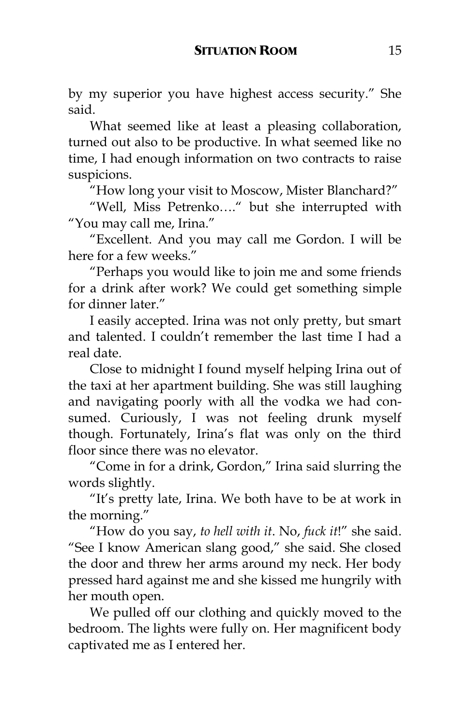by my superior you have highest access security." She said.

What seemed like at least a pleasing collaboration, turned out also to be productive. In what seemed like no time, I had enough information on two contracts to raise suspicions.

"How long your visit to Moscow, Mister Blanchard?"

"Well, Miss Petrenko…." but she interrupted with "You may call me, Irina."

"Excellent. And you may call me Gordon. I will be here for a few weeks."

"Perhaps you would like to join me and some friends for a drink after work? We could get something simple for dinner later."

I easily accepted. Irina was not only pretty, but smart and talented. I couldn"t remember the last time I had a real date.

Close to midnight I found myself helping Irina out of the taxi at her apartment building. She was still laughing and navigating poorly with all the vodka we had consumed. Curiously, I was not feeling drunk myself though. Fortunately, Irina"s flat was only on the third floor since there was no elevator.

"Come in for a drink, Gordon," Irina said slurring the words slightly.

"It"s pretty late, Irina. We both have to be at work in the morning."

"How do you say, *to hell with it*. No, *fuck it*!" she said. "See I know American slang good," she said. She closed the door and threw her arms around my neck. Her body pressed hard against me and she kissed me hungrily with her mouth open.

We pulled off our clothing and quickly moved to the bedroom. The lights were fully on. Her magnificent body captivated me as I entered her.